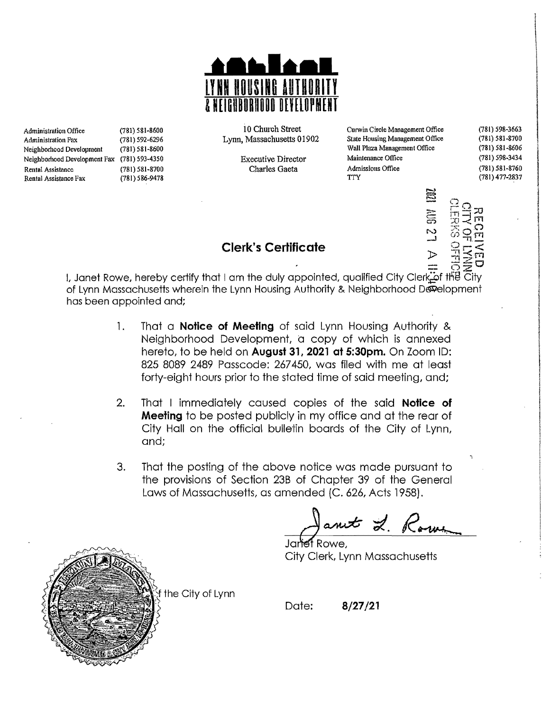

| Administration Office        | (781) 581-8600 | 10 Church Street          | Curwin Circle Management Office | $(781) 598 - 3663$ |
|------------------------------|----------------|---------------------------|---------------------------------|--------------------|
| Administration Fax           | (781) 592-6296 | Lynn, Massachusetts 01902 | State Housing Management Office | $(781) 581 - 8700$ |
| Neighborhood Development     | (781) 581-8600 |                           | Wall Plaza Management Office    | $(781) 581 - 8606$ |
| Neighborhood Development Fax | (781) 593-4350 | <b>Executive Director</b> | Maintenance Office              | (781) 598-3434     |
| Rental Assistance            | (781) 581-8700 | Charles Gaeta             | Admissions Office               | $(781) 581 - 8760$ |
| Rental Assistance Fax        | (781) 586-9478 |                           | TTY                             | $(781)$ 477-2837   |



I, Janet Rowe, hereby certify that I am the duly appointed, qualified City Clerk\_of the City of Lynn Massachusetts wherein the Lynn Housing Authority & Neighborhood Development has been appointed and;

**Clerk's Certificate** 

- 1. That a **Notice of Meeting** of said Lynn Housing Authority & Neighborhood Development, d copy of which is annexed hereto, to be held on **August 31, 2021 at 5:30pm.** On Zoom ID: 825 8089 2489 Passcode: 267450, was filed with me at least forty-eight hours prior to the stated time of said meeting, and:
- 2. That I immediately caused copies of the said **Notice of Meeting** to be posted publicly in my office and at the rear of City Hall on the official bulletin boards of the City of Lynn, and;
- 3. That the posting of the above notice was made pursuant to the provisions of Section 23B of Chapter 39 of the General Laws of Massachusetts, as amended (C. 626, Acts 1958}.

ant 2.

City Clerk, Lynn Massachusetts



the City of Lynn

Date: **8/27/21**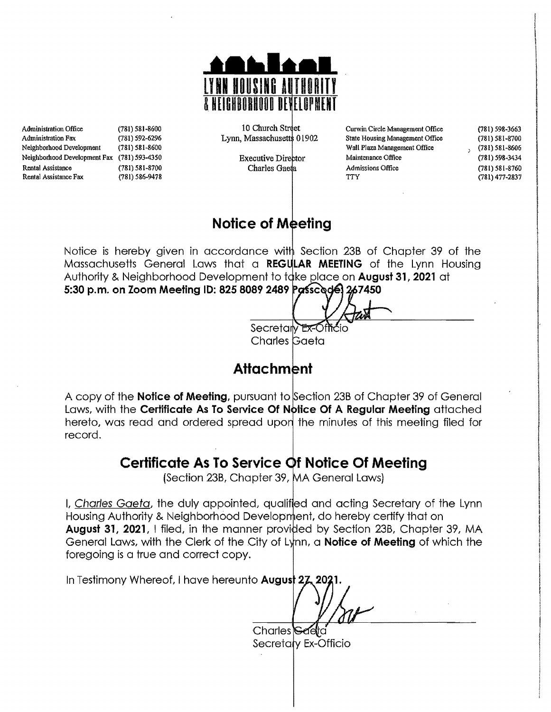

Administration Office (181) 581-8600 (181) 598-3663<br>Administration Fax (181) 592-6296 Cynn, Massachusetts 01902 State Housing Management Office (181) 581-8700 Adminislmtion FIIX (181) 592·6296 State Housing Management Office (781) 581-8700 Lynn, Massachusett 01902 Neighborhood Development (781) 581-8606<br>Neighborhood Development Fax (781) 593-4350 Wall Plaza Management Office (781) 598-3434 Neighborhood Development Fax (781) 593-4350 Executive Director Rental Assistance (781) 581-8700 (881) 781 Charles Gaeta Admissions Office (781) 581-8760 (781) 581-8760 Rental Assistance Fax (781) 586-9478 (781) 77 (781) 77 (781) 477-2837

10 Church Street

I

## **Notice of Meeting**

Notice is hereby given in accordance with Section 23B of Chapter 39 of the Massachusetts General Laws that a **REGULAR MEETING** of the Lynn Housing Authority & Neighborhood Development to take place on **August 31, 2021** at **5:30** p.m. **on Zoom Meeting 10: 825 8089 2489 7450** 

Secretary Ex-Officio Charles Gaeta

# **Attachment**

A copy of the **Notice of Meeting**, pursuant to Section 23B of Chapter 39 of General Laws, with the **Certificate As To Service Of Notice Of A Regular Meeting** attached hereto, was read and ordered spread upon the minutes of this meeting filed for record.

## **Certificate As To Service f Notice Of Meeting**

(Section 23B, Chapter 39, MA General Laws)

I, Charles Gaeta, the duly appointed, qualified and acting Secretary of the Lynn Housing Authority & Neighborhood Development, do hereby certify that on **August 31, 2021, I filed, in the manner provided by Section 23B, Chapter 39, MA** General Laws, with the Clerk of the City of Lynn, a **Notice of Meeting** of which the foregoing is a true and correct copy.

In Testimony Whereof, I have hereunto **August 27** 

 $Charles$ Secretary Ex-Officio